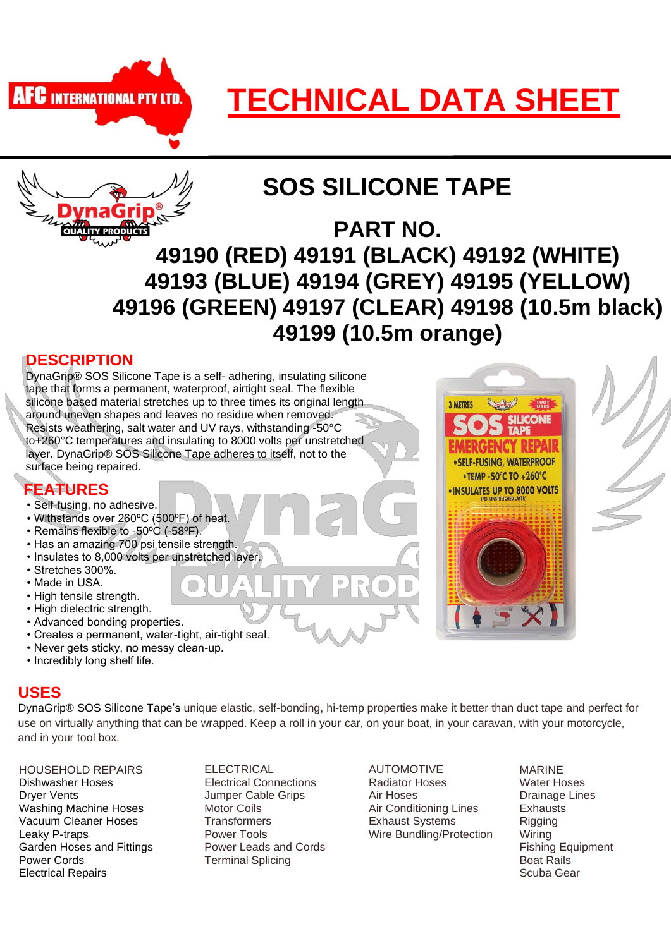

# **TECHNICAL DATA SHEET**



# **SOS SILICONE TAPE**

**PART NO. 49190 (RED) 49191 (BLACK) 49192 (WHITE) 49193 (BLUE) 49194 (GREY) 49195 (YELLOW) 49196 (GREEN) 49197 (CLEAR) 49198 (10.5m black) 49199 (10.5m orange)** 

# **DESCRIPTION**

 layer. DynaGrip® SOS Silicone Tape adheres to itself, not to the DynaGrip® SOS Silicone Tape is a self- adhering, insulating silicone tape that forms a permanent, waterproof, airtight seal. The flexible silicone based material stretches up to three times its original length around uneven shapes and leaves no residue when removed. Resists weathering, salt water and UV rays, withstanding -50°C to+260°C temperatures and insulating to 8000 volts per unstretched surface being repaired.

# **FEATURES**

- Self-fusing, no adhesive.
- Withstands over 260ºC (500ºF) of heat.
- Remains flexible to -50ºC (-58ºF).
- Has an amazing 700 psi tensile strength.
- Insulates to 8,000 volts per unstretched layer.
- Stretches 300%.
- Made in USA.
- High tensile strength.
- High dielectric strength.
- Advanced bonding properties.
- Creates a permanent, water-tight, air-tight seal.
- Never gets sticky, no messy clean-up.
- Incredibly long shelf life.

#### **USES**

DynaGrip® SOS Silicone Tape's unique elastic, self-bonding, hi-temp properties make it better than duct tape and perfect for use on virtually anything that can be wrapped. Keep a roll in your car, on your boat, in your caravan, with your motorcycle, and in your tool box.

HOUSEHOLD REPAIRS Dishwasher Hoses Dryer Vents Washing Machine Hoses Vacuum Cleaner Hoses Leaky P-traps Garden Hoses and Fittings Power Cords Electrical Repairs

ELECTRICAL Electrical Connections Jumper Cable Grips Motor Coils **Transformers** Power Tools Power Leads and Cords Terminal Splicing

AUTOMOTIVE Radiator Hoses Air Hoses Air Conditioning Lines Exhaust Systems Wire Bundling/Protection MARINE Water Hoses Drainage Lines **Exhausts Rigging** Wiring Fishing Equipment Boat Rails Scuba Gear